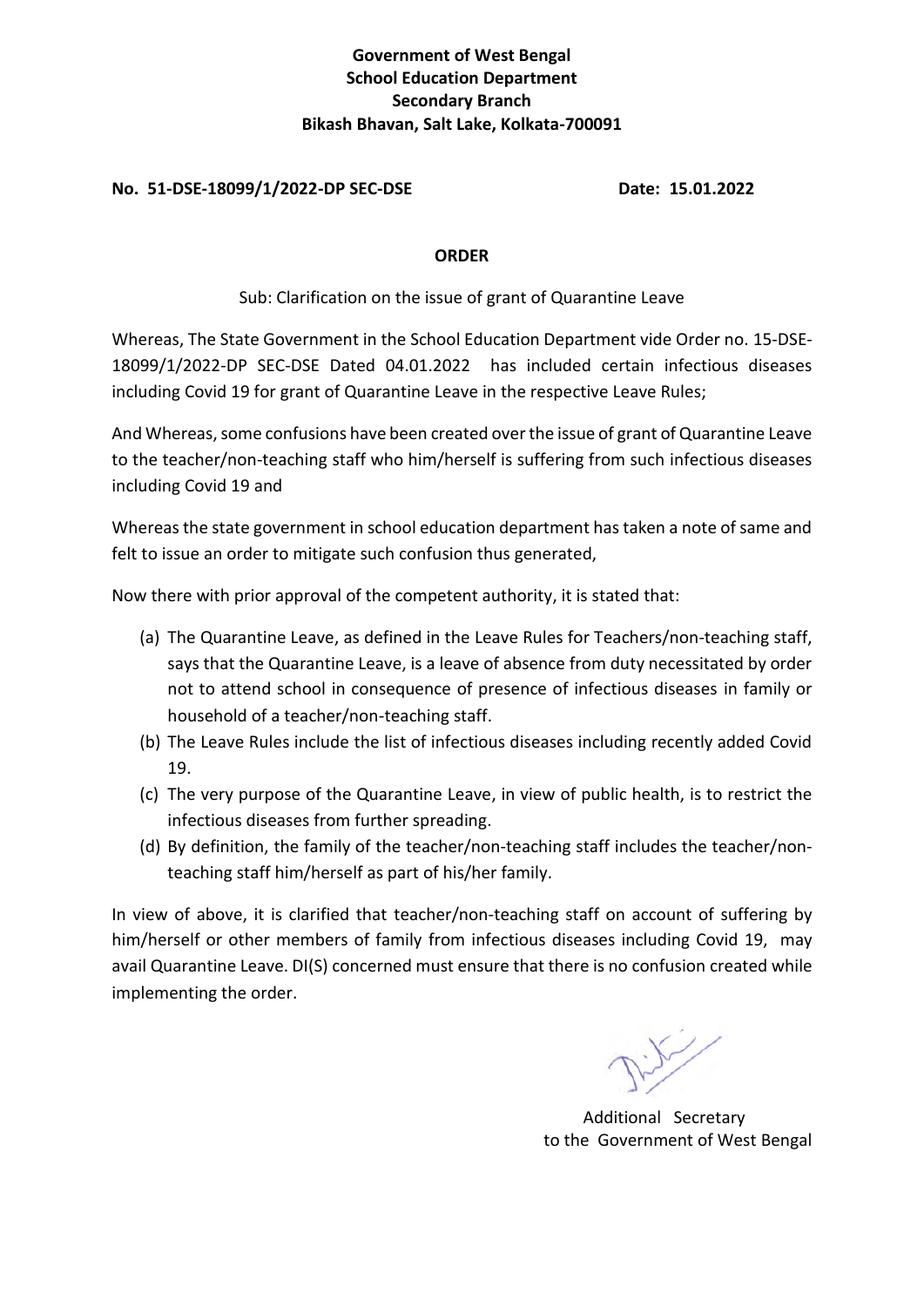## **Government of West Bengal School Education Department Secondary Branch Bikash Bhavan, Salt Lake, Kolkata-700091**

## **No. 51-DSE-18099/1/2022-DP SEC-DSE Date: 15.01.2022**

## **ORDER**

Sub: Clarification on the issue of grant of Quarantine Leave

Whereas, The State Government in the School Education Department vide Order no. 15-DSE-18099/1/2022-DP SEC-DSE Dated 04.01.2022 has included certain infectious diseases including Covid 19 for grant of Quarantine Leave in the respective Leave Rules;

And Whereas, some confusions have been created over the issue of grant of Quarantine Leave to the teacher/non-teaching staff who him/herself is suffering from such infectious diseases including Covid 19 and

Whereas the state government in school education department has taken a note of same and felt to issue an order to mitigate such confusion thus generated,

Now there with prior approval of the competent authority, it is stated that:

- (a) The Quarantine Leave, as defined in the Leave Rules for Teachers/non-teaching staff, says that the Quarantine Leave, is a leave of absence from duty necessitated by order not to attend school in consequence of presence of infectious diseases in family or household of a teacher/non-teaching staff.
- (b) The Leave Rules include the list of infectious diseases including recently added Covid 19.
- (c) The very purpose of the Quarantine Leave, in view of public health, is to restrict the infectious diseases from further spreading.
- (d) By definition, the family of the teacher/non-teaching staff includes the teacher/nonteaching staff him/herself as part of his/her family.

In view of above, it is clarified that teacher/non-teaching staff on account of suffering by him/herself or other members of family from infectious diseases including Covid 19, may avail Quarantine Leave. DI(S) concerned must ensure that there is no confusion created while implementing the order.

 Additional Secretary to the Government of West Bengal